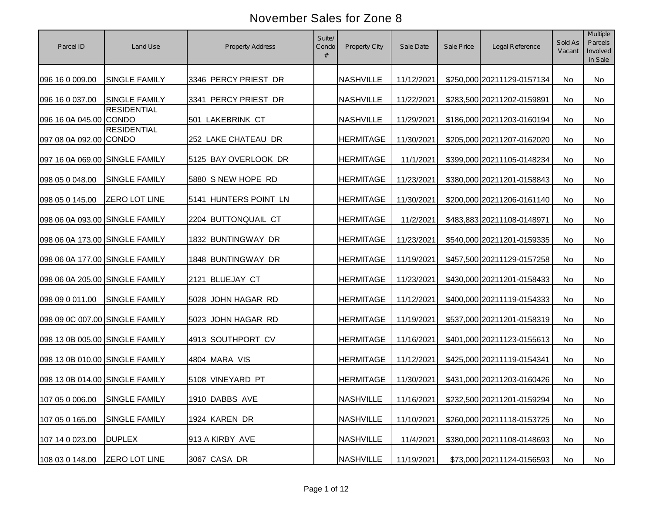| Parcel ID                      | Land Use                      | <b>Property Address</b> | Suite/<br>Condo<br># | Property City    | Sale Date  | Sale Price | Legal Reference            | Sold As<br>Vacant | Multiple<br>Parcels<br>Involved<br>in Sale |
|--------------------------------|-------------------------------|-------------------------|----------------------|------------------|------------|------------|----------------------------|-------------------|--------------------------------------------|
| 096 16 0 009.00                | <b>SINGLE FAMILY</b>          | 3346 PERCY PRIEST DR    |                      | <b>NASHVILLE</b> | 11/12/2021 |            | \$250,000 20211129-0157134 | No                | No                                         |
| 096 16 0 037.00                | <b>SINGLE FAMILY</b>          | 3341 PERCY PRIEST DR    |                      | <b>NASHVILLE</b> | 11/22/2021 |            | \$283,500 20211202-0159891 | No                | <b>No</b>                                  |
| 096 16 0A 045.00 CONDO         | <b>RESIDENTIAL</b>            | 501 LAKEBRINK CT        |                      | <b>NASHVILLE</b> | 11/29/2021 |            | \$186,000 20211203-0160194 | No                | <b>No</b>                                  |
| 097 08 0A 092.00 CONDO         | <b>RESIDENTIAL</b>            | 252 LAKE CHATEAU DR     |                      | <b>HERMITAGE</b> | 11/30/2021 |            | \$205,000 20211207-0162020 | No                | No                                         |
| 097 16 0A 069.00 SINGLE FAMILY |                               | 5125 BAY OVERLOOK DR    |                      | <b>HERMITAGE</b> | 11/1/2021  |            | \$399,000 20211105-0148234 | No                | <b>No</b>                                  |
| 098 05 0 048.00                | SINGLE FAMILY                 | 5880 S NEW HOPE RD      |                      | <b>HERMITAGE</b> | 11/23/2021 |            | \$380,000 20211201-0158843 | No                | <b>No</b>                                  |
| 098 05 0 145.00                | <b>ZERO LOT LINE</b>          | 5141 HUNTERS POINT LN   |                      | <b>HERMITAGE</b> | 11/30/2021 |            | \$200,000 20211206-0161140 | No                | No                                         |
| 098 06 0A 093.00 SINGLE FAMILY |                               | 2204 BUTTONQUAIL CT     |                      | <b>HERMITAGE</b> | 11/2/2021  |            | \$483,883 20211108-0148971 | No                | No                                         |
| 098 06 0A 173.00 SINGLE FAMILY |                               | 1832 BUNTINGWAY DR      |                      | <b>HERMITAGE</b> | 11/23/2021 |            | \$540,000 20211201-0159335 | No                | No                                         |
| 098 06 0A 177.00 SINGLE FAMILY |                               | 1848 BUNTINGWAY DR      |                      | <b>HERMITAGE</b> | 11/19/2021 |            | \$457,500 20211129-0157258 | No                | No                                         |
| 098 06 0A 205.00 SINGLE FAMILY |                               | 2121 BLUEJAY CT         |                      | <b>HERMITAGE</b> | 11/23/2021 |            | \$430,000 20211201-0158433 | No                | No                                         |
| 098 09 0 011.00                | <b>SINGLE FAMILY</b>          | 5028 JOHN HAGAR RD      |                      | <b>HERMITAGE</b> | 11/12/2021 |            | \$400,000 20211119-0154333 | No                | <b>No</b>                                  |
| 098 09 0C 007.00 SINGLE FAMILY |                               | 5023 JOHN HAGAR RD      |                      | <b>HERMITAGE</b> | 11/19/2021 |            | \$537,000 20211201-0158319 | No                | No                                         |
| 098 13 0B 005.00 SINGLE FAMILY |                               | 4913 SOUTHPORT CV       |                      | <b>HERMITAGE</b> | 11/16/2021 |            | \$401,000 20211123-0155613 | <b>No</b>         | <b>No</b>                                  |
| 098 13 0B 010.00 SINGLE FAMILY |                               | 4804 MARA VIS           |                      | <b>HERMITAGE</b> | 11/12/2021 |            | \$425,000 20211119-0154341 | <b>No</b>         | No                                         |
| 098 13 0B 014.00 SINGLE FAMILY |                               | 5108 VINEYARD PT        |                      | <b>HERMITAGE</b> | 11/30/2021 |            | \$431,000 20211203-0160426 | No                | No                                         |
|                                | 107 05 0 006.00 SINGLE FAMILY | 1910 DABBS AVE          |                      | <b>NASHVILLE</b> | 11/16/2021 |            | \$232,500 20211201-0159294 | No                | No                                         |
| 107 05 0 165.00                | SINGLE FAMILY                 | 1924 KAREN DR           |                      | <b>NASHVILLE</b> | 11/10/2021 |            | \$260,000 20211118-0153725 | No                | No                                         |
| 107 14 0 023.00                | <b>DUPLEX</b>                 | 913 A KIRBY AVE         |                      | <b>NASHVILLE</b> | 11/4/2021  |            | \$380,000 20211108-0148693 | No                | No                                         |
| 108 03 0 148.00                | <b>ZERO LOT LINE</b>          | 3067 CASA DR            |                      | <b>NASHVILLE</b> | 11/19/2021 |            | \$73,000 20211124-0156593  | No                | No                                         |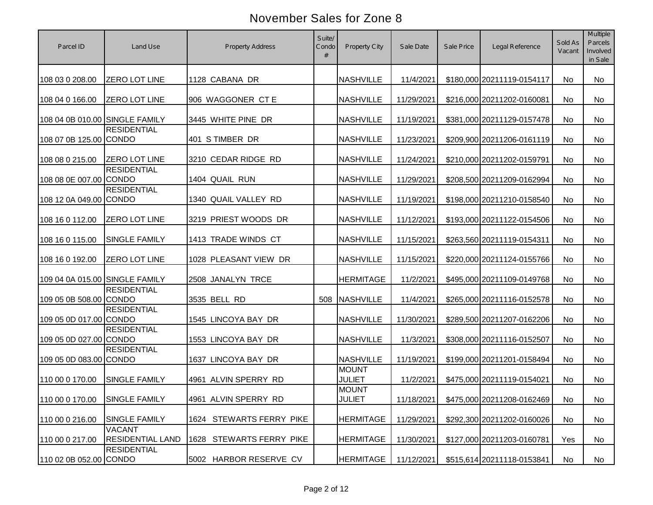| Parcel ID                      | Land Use                                 | <b>Property Address</b>  | Suite/<br>Condo<br># | Property City                 | Sale Date  | Sale Price | Legal Reference            | Sold As<br>Vacant | Multiple<br>Parcels<br>Involved<br>in Sale |
|--------------------------------|------------------------------------------|--------------------------|----------------------|-------------------------------|------------|------------|----------------------------|-------------------|--------------------------------------------|
| 108 03 0 208.00                | <b>ZERO LOT LINE</b>                     | 1128 CABANA DR           |                      | <b>NASHVILLE</b>              | 11/4/2021  |            | \$180,000 20211119-0154117 | No                | No                                         |
| 108 04 0 166.00                | <b>ZERO LOT LINE</b>                     | 906 WAGGONER CT E        |                      | <b>NASHVILLE</b>              | 11/29/2021 |            | \$216,000 20211202-0160081 | No                | No                                         |
| 108 04 0B 010.00 SINGLE FAMILY |                                          | 3445 WHITE PINE DR       |                      | <b>NASHVILLE</b>              | 11/19/2021 |            | \$381,000 20211129-0157478 | No                | No                                         |
| 108 07 0B 125.00 CONDO         | <b>RESIDENTIAL</b>                       | 401 STIMBER DR           |                      | <b>NASHVILLE</b>              | 11/23/2021 |            | \$209,900 20211206-0161119 | No                | No                                         |
| 108 08 0 215.00                | <b>ZERO LOT LINE</b>                     | 3210 CEDAR RIDGE RD      |                      | <b>NASHVILLE</b>              | 11/24/2021 |            | \$210,000 20211202-0159791 | No                | No                                         |
| 108 08 0E 007.00 CONDO         | <b>RESIDENTIAL</b>                       | 1404 QUAIL RUN           |                      | <b>NASHVILLE</b>              | 11/29/2021 |            | \$208,500 20211209-0162994 | No                | No                                         |
| 108 12 0A 049.00 CONDO         | <b>RESIDENTIAL</b>                       | 1340 QUAIL VALLEY RD     |                      | <b>NASHVILLE</b>              | 11/19/2021 |            | \$198,000 20211210-0158540 | No                | No                                         |
| 108 16 0 112.00                | ZERO LOT LINE                            | 3219 PRIEST WOODS DR     |                      | <b>NASHVILLE</b>              | 11/12/2021 |            | \$193,000 20211122-0154506 | No                | No                                         |
| 108 16 0 115.00                | <b>SINGLE FAMILY</b>                     | 1413 TRADE WINDS CT      |                      | <b>NASHVILLE</b>              | 11/15/2021 |            | \$263,560 20211119-0154311 | No                | No                                         |
| 108 16 0 192.00                | <b>ZERO LOT LINE</b>                     | 1028 PLEASANT VIEW DR    |                      | <b>NASHVILLE</b>              | 11/15/2021 |            | \$220,000 20211124-0155766 | No                | No                                         |
| 109 04 0A 015.00 SINGLE FAMILY |                                          | 2508 JANALYN TRCE        |                      | <b>HERMITAGE</b>              | 11/2/2021  |            | \$495,000 20211109-0149768 | No                | No                                         |
| 109 05 0B 508.00 CONDO         | <b>RESIDENTIAL</b>                       | 3535 BELL RD             | 508                  | NASHVILLE                     | 11/4/2021  |            | \$265,000 20211116-0152578 | No                | No                                         |
| 109 05 0D 017.00 CONDO         | <b>RESIDENTIAL</b>                       | 1545 LINCOYA BAY DR      |                      | <b>NASHVILLE</b>              | 11/30/2021 |            | \$289,500 20211207-0162206 | No                | No                                         |
| 109 05 0D 027.00 CONDO         | <b>RESIDENTIAL</b>                       | 1553 LINCOYA BAY DR      |                      | <b>NASHVILLE</b>              | 11/3/2021  |            | \$308,000 20211116-0152507 | No                | No                                         |
| 109 05 0D 083.00 CONDO         | <b>RESIDENTIAL</b>                       | 1637 LINCOYA BAY DR      |                      | <b>NASHVILLE</b>              | 11/19/2021 |            | \$199,000 20211201-0158494 | No                | No                                         |
| 110 00 0 170.00                | <b>SINGLE FAMILY</b>                     | 4961 ALVIN SPERRY RD     |                      | <b>MOUNT</b><br><b>JULIET</b> | 11/2/2021  |            | \$475,000 20211119-0154021 | No                | No                                         |
| 110 00 0 170.00 SINGLE FAMILY  |                                          | 4961 ALVIN SPERRY RD     |                      | <b>MOUNT</b><br><b>JULIET</b> | 11/18/2021 |            | \$475,000 20211208-0162469 | No                | No                                         |
| 110 00 0 216.00                | SINGLE FAMILY                            | 1624 STEWARTS FERRY PIKE |                      | <b>HERMITAGE</b>              | 11/29/2021 |            | \$292,300 20211202-0160026 | No                | No                                         |
| 110 00 0 217.00                | <b>VACANT</b><br><b>RESIDENTIAL LAND</b> | 1628 STEWARTS FERRY PIKE |                      | <b>HERMITAGE</b>              | 11/30/2021 |            | \$127,000 20211203-0160781 | Yes               | No                                         |
| 110 02 0B 052.00 CONDO         | <b>RESIDENTIAL</b>                       | 5002 HARBOR RESERVE CV   |                      | <b>HERMITAGE</b>              | 11/12/2021 |            | \$515,614 20211118-0153841 | No                | No                                         |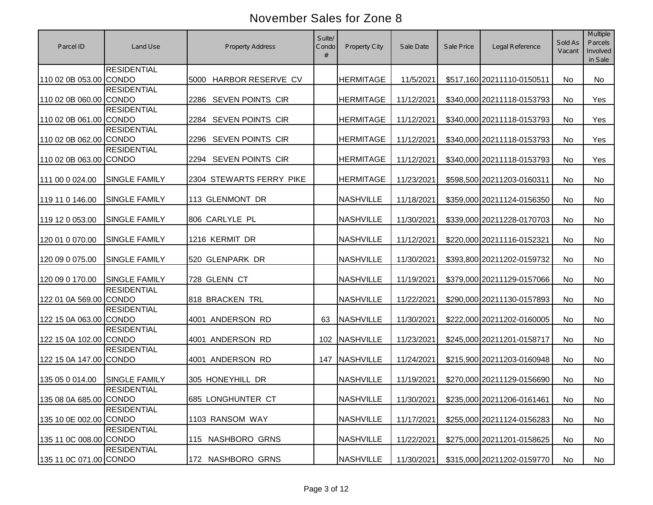| Parcel ID              | Land Use             | <b>Property Address</b>   | Suite/<br>Condo<br># | Property City    | Sale Date  | Sale Price | Legal Reference            | Sold As<br>Vacant | Multiple<br>Parcels<br>Involved<br>in Sale |
|------------------------|----------------------|---------------------------|----------------------|------------------|------------|------------|----------------------------|-------------------|--------------------------------------------|
| 110 02 0B 053.00 CONDO | <b>RESIDENTIAL</b>   | HARBOR RESERVE CV<br>5000 |                      | <b>HERMITAGE</b> | 11/5/2021  |            | \$517,160 20211110-0150511 | No                | No                                         |
| 110 02 0B 060.00 CONDO | <b>RESIDENTIAL</b>   | 2286 SEVEN POINTS CIR     |                      | <b>HERMITAGE</b> | 11/12/2021 |            | \$340,000 20211118-0153793 | <b>No</b>         | Yes                                        |
| 110 02 0B 061.00 CONDO | <b>RESIDENTIAL</b>   | 2284 SEVEN POINTS CIR     |                      | <b>HERMITAGE</b> | 11/12/2021 |            | \$340,000 20211118-0153793 | <b>No</b>         | Yes                                        |
| 110 02 0B 062.00 CONDO | <b>RESIDENTIAL</b>   | 2296 SEVEN POINTS CIR     |                      | <b>HERMITAGE</b> | 11/12/2021 |            | \$340,000 20211118-0153793 | No                | Yes                                        |
| 110 02 0B 063.00 CONDO | <b>RESIDENTIAL</b>   | 2294 SEVEN POINTS CIR     |                      | <b>HERMITAGE</b> | 11/12/2021 |            | \$340,000 20211118-0153793 | No                | Yes                                        |
| 111 00 0 024.00        | <b>SINGLE FAMILY</b> | 2304 STEWARTS FERRY PIKE  |                      | <b>HERMITAGE</b> | 11/23/2021 |            | \$598,500 20211203-0160311 | No                | No                                         |
| 119 11 0 146.00        | SINGLE FAMILY        | 113 GLENMONT DR           |                      | <b>NASHVILLE</b> | 11/18/2021 |            | \$359,000 20211124-0156350 | No                | No                                         |
| 119 12 0 053.00        | SINGLE FAMILY        | 806 CARLYLE PL            |                      | <b>NASHVILLE</b> | 11/30/2021 |            | \$339,000 20211228-0170703 | No                | No                                         |
| 120 01 0 070.00        | SINGLE FAMILY        | 1216 KERMIT DR            |                      | <b>NASHVILLE</b> | 11/12/2021 |            | \$220,000 20211116-0152321 | No                | No                                         |
| 120 09 0 075.00        | SINGLE FAMILY        | 520 GLENPARK DR           |                      | <b>NASHVILLE</b> | 11/30/2021 |            | \$393,800 20211202-0159732 | No                | No                                         |
| 120 09 0 170.00        | <b>SINGLE FAMILY</b> | 728 GLENN CT              |                      | <b>NASHVILLE</b> | 11/19/2021 |            | \$379,000 20211129-0157066 | No                | No                                         |
| 122 01 0A 569.00 CONDO | <b>RESIDENTIAL</b>   | 818 BRACKEN TRL           |                      | <b>NASHVILLE</b> | 11/22/2021 |            | \$290,000 20211130-0157893 | No                | No                                         |
| 122 15 0A 063.00 CONDO | <b>RESIDENTIAL</b>   | 4001 ANDERSON RD          | 63                   | <b>NASHVILLE</b> | 11/30/2021 |            | \$222,000 20211202-0160005 | No                | No                                         |
| 122 15 0A 102.00 CONDO | <b>RESIDENTIAL</b>   | 4001 ANDERSON RD          | 102                  | <b>NASHVILLE</b> | 11/23/2021 |            | \$245,000 20211201-0158717 | <b>No</b>         | No                                         |
| 122 15 0A 147.00 CONDO | <b>RESIDENTIAL</b>   | 4001 ANDERSON RD          | 147                  | NASHVILLE        | 11/24/2021 |            | \$215,900 20211203-0160948 | <b>No</b>         | No                                         |
| 135 05 0 014.00        | <b>SINGLE FAMILY</b> | 305 HONEYHILL DR          |                      | <b>NASHVILLE</b> | 11/19/2021 |            | \$270,000 20211129-0156690 | No                | No                                         |
| 135 08 0A 685.00 CONDO | <b>RESIDENTIAL</b>   | 685 LONGHUNTER CT         |                      | <b>NASHVILLE</b> | 11/30/2021 |            | \$235,000 20211206-0161461 | No                | No                                         |
| 135 10 0E 002.00 CONDO | <b>RESIDENTIAL</b>   | 1103 RANSOM WAY           |                      | <b>NASHVILLE</b> | 11/17/2021 |            | \$255,000 20211124-0156283 | No                | No                                         |
| 135 11 0C 008.00 CONDO | <b>RESIDENTIAL</b>   | 115 NASHBORO GRNS         |                      | <b>NASHVILLE</b> | 11/22/2021 |            | \$275,000 20211201-0158625 | No                | No                                         |
| 135 11 0C 071.00 CONDO | <b>RESIDENTIAL</b>   | 172 NASHBORO GRNS         |                      | <b>NASHVILLE</b> | 11/30/2021 |            | \$315,000 20211202-0159770 | No                | No                                         |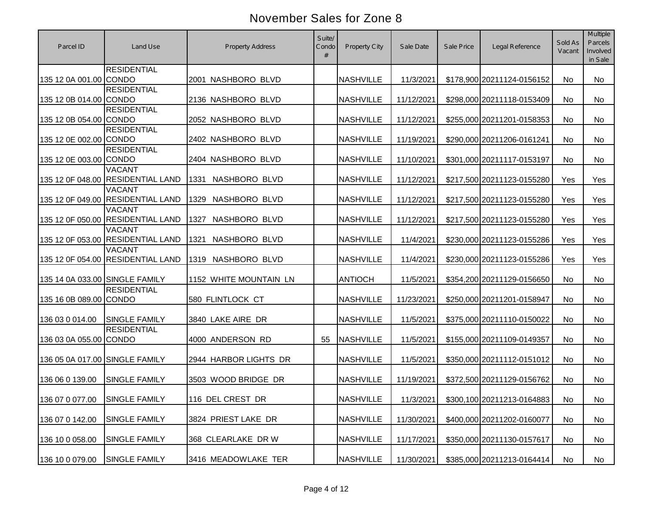| Parcel ID                      | Land Use                                           | <b>Property Address</b> | Suite/<br>Condo<br># | Property City    | Sale Date  | Sale Price | Legal Reference            | Sold As<br>Vacant | Multiple<br>Parcels<br>Involved<br>in Sale |
|--------------------------------|----------------------------------------------------|-------------------------|----------------------|------------------|------------|------------|----------------------------|-------------------|--------------------------------------------|
| 135 12 0A 001.00 CONDO         | <b>RESIDENTIAL</b>                                 | 2001 NASHBORO BLVD      |                      | <b>NASHVILLE</b> | 11/3/2021  |            | \$178,900 20211124-0156152 | No                | No                                         |
| 135 12 0B 014.00 CONDO         | <b>RESIDENTIAL</b>                                 | 2136 NASHBORO BLVD      |                      | <b>NASHVILLE</b> | 11/12/2021 |            | \$298,000 20211118-0153409 | <b>No</b>         | <b>No</b>                                  |
| 135 12 0B 054.00 CONDO         | <b>RESIDENTIAL</b>                                 | 2052 NASHBORO BLVD      |                      | <b>NASHVILLE</b> | 11/12/2021 |            | \$255,000 20211201-0158353 | <b>No</b>         | <b>No</b>                                  |
| 135 12 0E 002.00 CONDO         | <b>RESIDENTIAL</b>                                 | 2402 NASHBORO BLVD      |                      | <b>NASHVILLE</b> | 11/19/2021 |            | \$290,000 20211206-0161241 | No                | No                                         |
| 135 12 0E 003.00 CONDO         | <b>RESIDENTIAL</b>                                 | 2404 NASHBORO BLVD      |                      | <b>NASHVILLE</b> | 11/10/2021 |            | \$301,000 20211117-0153197 | No                | <b>No</b>                                  |
|                                | <b>VACANT</b><br>135 12 0F 048.00 RESIDENTIAL LAND | NASHBORO BLVD<br>1331   |                      | <b>NASHVILLE</b> | 11/12/2021 |            | \$217,500 20211123-0155280 | Yes               | Yes                                        |
|                                | <b>VACANT</b><br>135 12 0F 049.00 RESIDENTIAL LAND | NASHBORO BLVD<br>1329   |                      | <b>NASHVILLE</b> | 11/12/2021 |            | \$217,500 20211123-0155280 | Yes               | Yes                                        |
|                                | <b>VACANT</b><br>135 12 0F 050.00 RESIDENTIAL LAND | NASHBORO BLVD<br>1327   |                      | <b>NASHVILLE</b> | 11/12/2021 |            | \$217,500 20211123-0155280 | Yes               | Yes                                        |
|                                | <b>VACANT</b><br>135 12 0F 053.00 RESIDENTIAL LAND | 1321<br>NASHBORO BLVD   |                      | <b>NASHVILLE</b> | 11/4/2021  |            | \$230,000 20211123-0155286 | Yes               | Yes                                        |
|                                | <b>VACANT</b><br>135 12 0F 054.00 RESIDENTIAL LAND | NASHBORO BLVD<br>1319   |                      | <b>NASHVILLE</b> | 11/4/2021  |            | \$230,000 20211123-0155286 | Yes               | Yes                                        |
| 135 14 0A 033.00 SINGLE FAMILY |                                                    | 1152 WHITE MOUNTAIN LN  |                      | <b>ANTIOCH</b>   | 11/5/2021  |            | \$354,200 20211129-0156650 | No                | No                                         |
| 135 16 0B 089.00 CONDO         | <b>RESIDENTIAL</b>                                 | 580 FLINTLOCK CT        |                      | <b>NASHVILLE</b> | 11/23/2021 |            | \$250,000 20211201-0158947 | No                | No                                         |
| 136 03 0 014.00                | <b>SINGLE FAMILY</b>                               | 3840 LAKE AIRE DR       |                      | <b>NASHVILLE</b> | 11/5/2021  |            | \$375,000 20211110-0150022 | No                | No                                         |
| 136 03 0A 055.00 CONDO         | <b>RESIDENTIAL</b>                                 | 4000 ANDERSON RD        | 55                   | <b>NASHVILLE</b> | 11/5/2021  |            | \$155,000 20211109-0149357 | No                | No                                         |
| 136 05 0A 017.00 SINGLE FAMILY |                                                    | 2944 HARBOR LIGHTS DR   |                      | <b>NASHVILLE</b> | 11/5/2021  |            | \$350,000 20211112-0151012 | No                | No                                         |
| 136 06 0 139.00                | <b>SINGLE FAMILY</b>                               | 3503 WOOD BRIDGE DR     |                      | <b>NASHVILLE</b> | 11/19/2021 |            | \$372,500 20211129-0156762 | No                | No                                         |
| 136 07 0 077.00 SINGLE FAMILY  |                                                    | 116 DEL CREST DR        |                      | <b>NASHVILLE</b> | 11/3/2021  |            | \$300,100 20211213-0164883 | No                | No                                         |
| 136 07 0 142.00                | SINGLE FAMILY                                      | 3824 PRIEST LAKE DR     |                      | <b>NASHVILLE</b> | 11/30/2021 |            | \$400,000 20211202-0160077 | No                | No                                         |
| 136 10 0 058.00                | SINGLE FAMILY                                      | 368 CLEARLAKE DR W      |                      | <b>NASHVILLE</b> | 11/17/2021 |            | \$350,000 20211130-0157617 | No                | No                                         |
| 136 10 0 079.00                | SINGLE FAMILY                                      | 3416 MEADOWLAKE TER     |                      | <b>NASHVILLE</b> | 11/30/2021 |            | \$385,000 20211213-0164414 | No                | No                                         |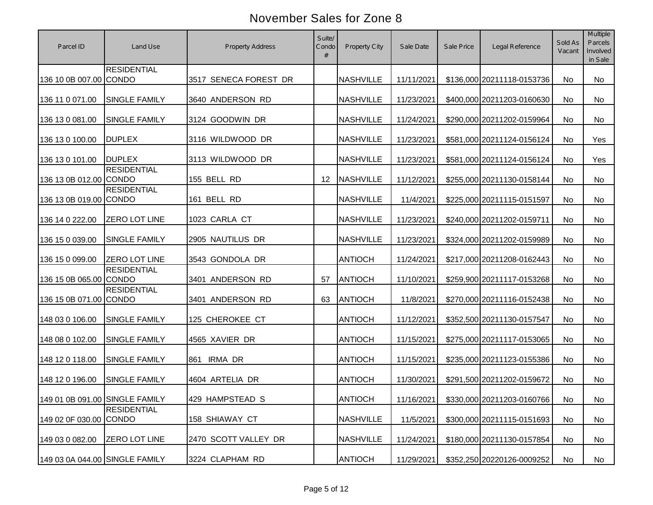| Parcel ID                      | Land Use                           | <b>Property Address</b> | Suite/<br>Condo<br># | <b>Property City</b> | Sale Date  | Sale Price | Legal Reference            | Sold As<br>Vacant | Multiple<br>Parcels<br>Involved<br>in Sale |
|--------------------------------|------------------------------------|-------------------------|----------------------|----------------------|------------|------------|----------------------------|-------------------|--------------------------------------------|
| 136 10 0B 007.00 CONDO         | <b>RESIDENTIAL</b>                 | 3517 SENECA FOREST DR   |                      | <b>NASHVILLE</b>     | 11/11/2021 |            | \$136,000 20211118-0153736 | No                | No                                         |
| 136 11 0 071.00                | <b>SINGLE FAMILY</b>               | 3640 ANDERSON RD        |                      | <b>NASHVILLE</b>     | 11/23/2021 |            | \$400,000 20211203-0160630 | <b>No</b>         | <b>No</b>                                  |
| 136 13 0 081.00                | <b>SINGLE FAMILY</b>               | 3124 GOODWIN DR         |                      | <b>NASHVILLE</b>     | 11/24/2021 |            | \$290,000 20211202-0159964 | <b>No</b>         | <b>No</b>                                  |
| 136 13 0 100.00                | <b>DUPLEX</b>                      | 3116 WILDWOOD DR        |                      | <b>NASHVILLE</b>     | 11/23/2021 |            | \$581,000 20211124-0156124 | No                | Yes                                        |
| 136 13 0 101.00                | <b>DUPLEX</b>                      | 3113 WILDWOOD DR        |                      | <b>NASHVILLE</b>     | 11/23/2021 |            | \$581,000 20211124-0156124 | No                | Yes                                        |
| 136 13 0B 012.00 CONDO         | <b>RESIDENTIAL</b>                 | 155 BELL RD             | 12                   | <b>NASHVILLE</b>     | 11/12/2021 |            | \$255,000 20211130-0158144 | No                | No                                         |
| 136 13 0B 019.00 CONDO         | <b>RESIDENTIAL</b>                 | 161 BELL RD             |                      | <b>NASHVILLE</b>     | 11/4/2021  |            | \$225,000 20211115-0151597 | No                | No                                         |
| 136 14 0 222.00                | <b>ZERO LOT LINE</b>               | 1023 CARLA CT           |                      | <b>NASHVILLE</b>     | 11/23/2021 |            | \$240,000 20211202-0159711 | No                | No                                         |
| 136 15 0 039.00                | <b>SINGLE FAMILY</b>               | 2905 NAUTILUS DR        |                      | <b>NASHVILLE</b>     | 11/23/2021 |            | \$324,000 20211202-0159989 | No                | No                                         |
| 136 15 0 099.00                | <b>ZERO LOT LINE</b>               | 3543 GONDOLA DR         |                      | <b>ANTIOCH</b>       | 11/24/2021 |            | \$217,000 20211208-0162443 | No                | No                                         |
| 136 15 0B 065.00 CONDO         | <b>RESIDENTIAL</b>                 | 3401 ANDERSON RD        | 57                   | <b>ANTIOCH</b>       | 11/10/2021 |            | \$259,900 20211117-0153268 | No                | No                                         |
| 136 15 0B 071.00 CONDO         | <b>RESIDENTIAL</b>                 | 3401 ANDERSON RD        | 63                   | <b>ANTIOCH</b>       | 11/8/2021  |            | \$270,000 20211116-0152438 | No                | No                                         |
| 148 03 0 106.00                | <b>SINGLE FAMILY</b>               | 125 CHEROKEE CT         |                      | <b>ANTIOCH</b>       | 11/12/2021 |            | \$352,500 20211130-0157547 | No                | No                                         |
| 148 08 0 102.00                | <b>SINGLE FAMILY</b>               | 4565 XAVIER DR          |                      | <b>ANTIOCH</b>       | 11/15/2021 |            | \$275,000 20211117-0153065 | No                | No                                         |
| 148 12 0 118.00                | <b>SINGLE FAMILY</b>               | <b>IRMA DR</b><br>861   |                      | <b>ANTIOCH</b>       | 11/15/2021 |            | \$235,000 20211123-0155386 | No                | No                                         |
| 148 12 0 196.00                | <b>SINGLE FAMILY</b>               | 4604 ARTELIA DR         |                      | <b>ANTIOCH</b>       | 11/30/2021 |            | \$291,500 20211202-0159672 | No                | No                                         |
| 149 01 0B 091.00 SINGLE FAMILY |                                    | 429 HAMPSTEAD S         |                      | <b>ANTIOCH</b>       | 11/16/2021 |            | \$330,000 20211203-0160766 | No                | No                                         |
| 149 02 0F 030.00               | <b>RESIDENTIAL</b><br><b>CONDO</b> | 158 SHIAWAY CT          |                      | <b>NASHVILLE</b>     | 11/5/2021  |            | \$300,000 20211115-0151693 | No                | No                                         |
| 149 03 0 082.00                | <b>ZERO LOT LINE</b>               | 2470 SCOTT VALLEY DR    |                      | <b>NASHVILLE</b>     | 11/24/2021 |            | \$180,000 20211130-0157854 | No                | No                                         |
| 149 03 0A 044.00 SINGLE FAMILY |                                    | 3224 CLAPHAM RD         |                      | <b>ANTIOCH</b>       | 11/29/2021 |            | \$352,250 20220126-0009252 | No                | No                                         |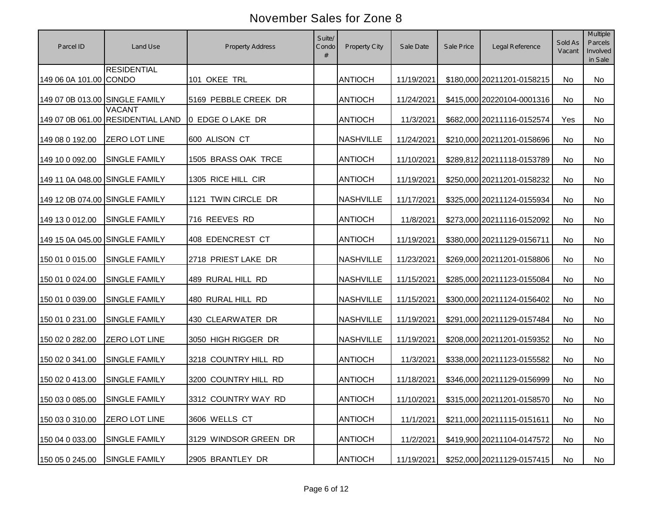| Parcel ID                      | Land Use                                           | <b>Property Address</b> | Suite/<br>Condo<br># | Property City    | Sale Date  | Sale Price | Legal Reference            | Sold As<br>Vacant | Multiple<br>Parcels<br>Involved<br>in Sale |
|--------------------------------|----------------------------------------------------|-------------------------|----------------------|------------------|------------|------------|----------------------------|-------------------|--------------------------------------------|
| 149 06 0A 101.00 CONDO         | <b>RESIDENTIAL</b>                                 | 101 OKEE TRL            |                      | <b>ANTIOCH</b>   | 11/19/2021 |            | \$180,000 20211201-0158215 | No                | No                                         |
| 149 07 0B 013.00 SINGLE FAMILY |                                                    | 5169 PEBBLE CREEK DR    |                      | <b>ANTIOCH</b>   | 11/24/2021 |            | \$415,000 20220104-0001316 | No                | No                                         |
|                                | <b>VACANT</b><br>149 07 0B 061.00 RESIDENTIAL LAND | 0 EDGE O LAKE DR        |                      | <b>ANTIOCH</b>   | 11/3/2021  |            | \$682,000 20211116-0152574 | Yes               | No                                         |
| 149 08 0 192.00                | <b>ZERO LOT LINE</b>                               | 600 ALISON CT           |                      | <b>NASHVILLE</b> | 11/24/2021 |            | \$210,000 20211201-0158696 | No                | No                                         |
| 149 10 0 092.00                | <b>SINGLE FAMILY</b>                               | 1505 BRASS OAK TRCE     |                      | <b>ANTIOCH</b>   | 11/10/2021 |            | \$289,812 20211118-0153789 | No                | No                                         |
| 149 11 0A 048.00 SINGLE FAMILY |                                                    | 1305 RICE HILL CIR      |                      | <b>ANTIOCH</b>   | 11/19/2021 |            | \$250,000 20211201-0158232 | No                | No                                         |
| 149 12 0B 074.00 SINGLE FAMILY |                                                    | 1121 TWIN CIRCLE DR     |                      | <b>NASHVILLE</b> | 11/17/2021 |            | \$325,000 20211124-0155934 | No                | No                                         |
| 149 13 0 012.00                | <b>SINGLE FAMILY</b>                               | 716 REEVES RD           |                      | <b>ANTIOCH</b>   | 11/8/2021  |            | \$273,000 20211116-0152092 | No                | No                                         |
| 149 15 0A 045.00 SINGLE FAMILY |                                                    | 408 EDENCREST CT        |                      | <b>ANTIOCH</b>   | 11/19/2021 |            | \$380,000 20211129-0156711 | No                | No                                         |
| 150 01 0 015.00                | <b>SINGLE FAMILY</b>                               | 2718 PRIEST LAKE DR     |                      | <b>NASHVILLE</b> | 11/23/2021 |            | \$269,000 20211201-0158806 | <b>No</b>         | <b>No</b>                                  |
| 150 01 0 024.00                | SINGLE FAMILY                                      | 489 RURAL HILL RD       |                      | <b>NASHVILLE</b> | 11/15/2021 |            | \$285,000 20211123-0155084 | No                | No                                         |
| 150 01 0 039.00                | SINGLE FAMILY                                      | 480 RURAL HILL RD       |                      | <b>NASHVILLE</b> | 11/15/2021 |            | \$300,000 20211124-0156402 | No                | No                                         |
| 150 01 0 231.00                | SINGLE FAMILY                                      | 430 CLEARWATER DR       |                      | <b>NASHVILLE</b> | 11/19/2021 |            | \$291,000 20211129-0157484 | No                | <b>No</b>                                  |
| 150 02 0 282.00                | ZERO LOT LINE                                      | 3050 HIGH RIGGER DR     |                      | <b>NASHVILLE</b> | 11/19/2021 |            | \$208,000 20211201-0159352 | <b>No</b>         | No                                         |
| 150 02 0 341.00                | SINGLE FAMILY                                      | 3218 COUNTRY HILL RD    |                      | <b>ANTIOCH</b>   | 11/3/2021  |            | \$338,000 20211123-0155582 | <b>No</b>         | No                                         |
| 150 02 0 413.00                | <b>SINGLE FAMILY</b>                               | 3200 COUNTRY HILL RD    |                      | <b>ANTIOCH</b>   | 11/18/2021 |            | \$346,000 20211129-0156999 | <b>No</b>         | No                                         |
| 150 03 0 085.00 SINGLE FAMILY  |                                                    | 3312 COUNTRY WAY RD     |                      | <b>ANTIOCH</b>   | 11/10/2021 |            | \$315,000 20211201-0158570 | No                | No                                         |
| 150 03 0 310.00                | ZERO LOT LINE                                      | 3606 WELLS CT           |                      | <b>ANTIOCH</b>   | 11/1/2021  |            | \$211,000 20211115-0151611 | No                | No                                         |
| 150 04 0 033.00                | <b>SINGLE FAMILY</b>                               | 3129 WINDSOR GREEN DR   |                      | <b>ANTIOCH</b>   | 11/2/2021  |            | \$419,900 20211104-0147572 | No                | No                                         |
| 150 05 0 245.00                | <b>SINGLE FAMILY</b>                               | 2905 BRANTLEY DR        |                      | <b>ANTIOCH</b>   | 11/19/2021 |            | \$252,000 20211129-0157415 | No                | No                                         |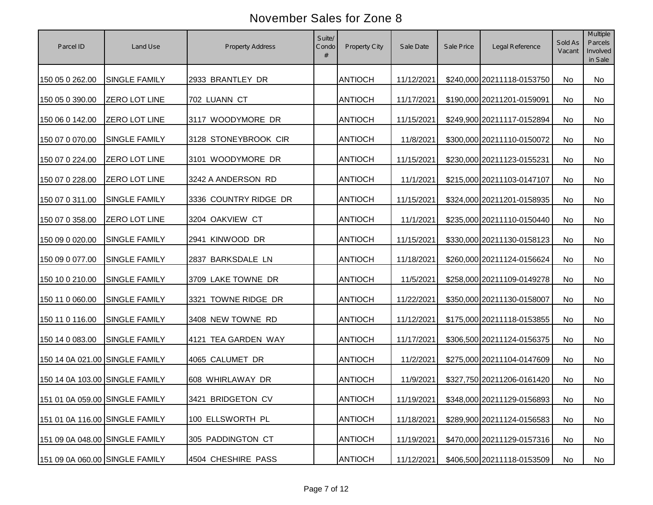| Parcel ID                      | Land Use             | <b>Property Address</b> | Suite/<br>Condo<br># | Property City  | Sale Date  | Sale Price | Legal Reference            | Sold As<br>Vacant | Multiple<br>Parcels<br>Involved<br>in Sale |
|--------------------------------|----------------------|-------------------------|----------------------|----------------|------------|------------|----------------------------|-------------------|--------------------------------------------|
| 150 05 0 262.00                | <b>SINGLE FAMILY</b> | 2933 BRANTLEY DR        |                      | <b>ANTIOCH</b> | 11/12/2021 |            | \$240,000 20211118-0153750 | No                | No                                         |
| 150 05 0 390.00                | <b>ZERO LOT LINE</b> | 702 LUANN CT            |                      | <b>ANTIOCH</b> | 11/17/2021 |            | \$190,000 20211201-0159091 | <b>No</b>         | No                                         |
| 150 06 0 142.00                | <b>ZERO LOT LINE</b> | 3117 WOODYMORE DR       |                      | <b>ANTIOCH</b> | 11/15/2021 |            | \$249,900 20211117-0152894 | No                | No                                         |
| 150 07 0 070.00                | <b>SINGLE FAMILY</b> | 3128 STONEYBROOK CIR    |                      | <b>ANTIOCH</b> | 11/8/2021  |            | \$300,000 20211110-0150072 | No                | No                                         |
| 150 07 0 224.00                | ZERO LOT LINE        | 3101 WOODYMORE DR       |                      | <b>ANTIOCH</b> | 11/15/2021 |            | \$230,000 20211123-0155231 | No                | No                                         |
| 150 07 0 228.00                | <b>ZERO LOT LINE</b> | 3242 A ANDERSON RD      |                      | <b>ANTIOCH</b> | 11/1/2021  |            | \$215,000 20211103-0147107 | No                | No                                         |
| 150 07 0 311.00                | <b>SINGLE FAMILY</b> | 3336 COUNTRY RIDGE DR   |                      | <b>ANTIOCH</b> | 11/15/2021 |            | \$324,000 20211201-0158935 | No                | No                                         |
| 150 07 0 358.00                | <b>ZERO LOT LINE</b> | 3204 OAKVIEW CT         |                      | <b>ANTIOCH</b> | 11/1/2021  |            | \$235,000 20211110-0150440 | No                | No                                         |
| 150 09 0 020.00                | SINGLE FAMILY        | 2941 KINWOOD DR         |                      | <b>ANTIOCH</b> | 11/15/2021 |            | \$330,000 20211130-0158123 | No                | No                                         |
| 150 09 0 077.00                | SINGLE FAMILY        | 2837 BARKSDALE LN       |                      | <b>ANTIOCH</b> | 11/18/2021 |            | \$260,000 20211124-0156624 | No                | No                                         |
| 150 10 0 210.00                | SINGLE FAMILY        | 3709 LAKE TOWNE DR      |                      | <b>ANTIOCH</b> | 11/5/2021  |            | \$258,000 20211109-0149278 | No                | No                                         |
| 150 11 0 060.00                | <b>SINGLE FAMILY</b> | 3321 TOWNE RIDGE DR     |                      | <b>ANTIOCH</b> | 11/22/2021 |            | \$350,000 20211130-0158007 | No                | No                                         |
| 150 11 0 116.00                | <b>SINGLE FAMILY</b> | 3408 NEW TOWNE RD       |                      | <b>ANTIOCH</b> | 11/12/2021 |            | \$175,000 20211118-0153855 | No                | No                                         |
| 150 14 0 083.00                | <b>SINGLE FAMILY</b> | 4121 TEA GARDEN WAY     |                      | <b>ANTIOCH</b> | 11/17/2021 |            | \$306,500 20211124-0156375 | No                | No                                         |
| 150 14 0A 021.00 SINGLE FAMILY |                      | 4065 CALUMET DR         |                      | <b>ANTIOCH</b> | 11/2/2021  |            | \$275,000 20211104-0147609 | No                | No                                         |
| 150 14 0A 103.00 SINGLE FAMILY |                      | 608 WHIRLAWAY DR        |                      | <b>ANTIOCH</b> | 11/9/2021  |            | \$327,750 20211206-0161420 | No                | No                                         |
| 151 01 0A 059.00 SINGLE FAMILY |                      | 3421 BRIDGETON CV       |                      | <b>ANTIOCH</b> | 11/19/2021 |            | \$348,000 20211129-0156893 | No                | No                                         |
| 151 01 0A 116.00 SINGLE FAMILY |                      | 100 ELLSWORTH PL        |                      | <b>ANTIOCH</b> | 11/18/2021 |            | \$289,900 20211124-0156583 | No                | No                                         |
| 151 09 0A 048.00 SINGLE FAMILY |                      | 305 PADDINGTON CT       |                      | <b>ANTIOCH</b> | 11/19/2021 |            | \$470,000 20211129-0157316 | No                | No                                         |
| 151 09 0A 060.00 SINGLE FAMILY |                      | 4504 CHESHIRE PASS      |                      | <b>ANTIOCH</b> | 11/12/2021 |            | \$406,500 20211118-0153509 | No                | No                                         |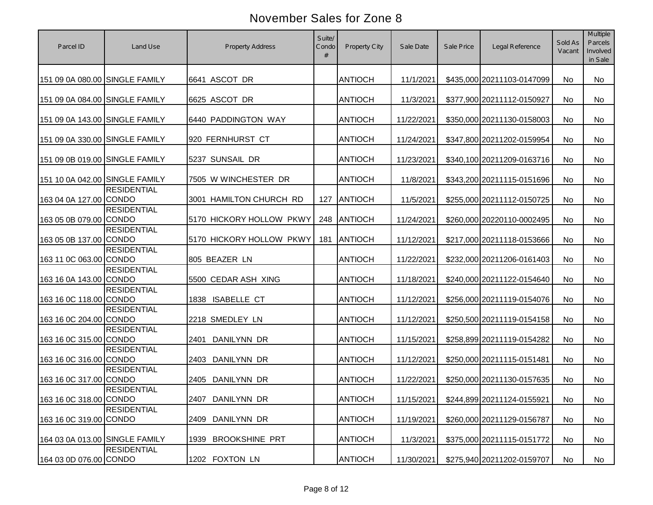| Parcel ID                      | Land Use           | <b>Property Address</b>    | Suite/<br>Condo<br># | Property City  | Sale Date  | Sale Price | Legal Reference            | Sold As<br>Vacant | Multiple<br>Parcels<br>Involved<br>in Sale |
|--------------------------------|--------------------|----------------------------|----------------------|----------------|------------|------------|----------------------------|-------------------|--------------------------------------------|
| 151 09 0A 080.00 SINGLE FAMILY |                    | 6641 ASCOT DR              |                      | <b>ANTIOCH</b> | 11/1/2021  |            | \$435,000 20211103-0147099 | No                | No                                         |
| 151 09 0A 084.00 SINGLE FAMILY |                    | 6625 ASCOT DR              |                      | <b>ANTIOCH</b> | 11/3/2021  |            | \$377,900 20211112-0150927 | <b>No</b>         | <b>No</b>                                  |
| 151 09 0A 143.00 SINGLE FAMILY |                    | 6440 PADDINGTON WAY        |                      | <b>ANTIOCH</b> | 11/22/2021 |            | \$350,000 20211130-0158003 | <b>No</b>         | <b>No</b>                                  |
| 151 09 0A 330.00 SINGLE FAMILY |                    | 920 FERNHURST CT           |                      | <b>ANTIOCH</b> | 11/24/2021 |            | \$347,800 20211202-0159954 | No                | No                                         |
| 151 09 0B 019.00 SINGLE FAMILY |                    | 5237 SUNSAIL DR            |                      | <b>ANTIOCH</b> | 11/23/2021 |            | \$340,100 20211209-0163716 | <b>No</b>         | <b>No</b>                                  |
| 151 10 0A 042.00 SINGLE FAMILY |                    | 7505 W WINCHESTER DR       |                      | <b>ANTIOCH</b> | 11/8/2021  |            | \$343,200 20211115-0151696 | <b>No</b>         | <b>No</b>                                  |
| 163 04 0A 127.00 CONDO         | <b>RESIDENTIAL</b> | 3001 HAMILTON CHURCH RD    | 127                  | <b>ANTIOCH</b> | 11/5/2021  |            | \$255,000 20211112-0150725 | No                | No                                         |
| 163 05 0B 079.00 CONDO         | <b>RESIDENTIAL</b> | 5170 HICKORY HOLLOW PKWY   | 248                  | <b>ANTIOCH</b> | 11/24/2021 |            | \$260,000 20220110-0002495 | No                | <b>No</b>                                  |
| 163 05 0B 137.00 CONDO         | <b>RESIDENTIAL</b> | 5170 HICKORY HOLLOW PKWY   | 181                  | <b>ANTIOCH</b> | 11/12/2021 |            | \$217,000 20211118-0153666 | No                | <b>No</b>                                  |
| 163 11 0C 063.00 CONDO         | <b>RESIDENTIAL</b> | 805 BEAZER LN              |                      | <b>ANTIOCH</b> | 11/22/2021 |            | \$232,000 20211206-0161403 | No                | No                                         |
| 163 16 0A 143.00 CONDO         | <b>RESIDENTIAL</b> | 5500 CEDAR ASH XING        |                      | <b>ANTIOCH</b> | 11/18/2021 |            | \$240,000 20211122-0154640 | No                | No                                         |
| 163 16 0C 118.00 CONDO         | <b>RESIDENTIAL</b> | 1838 ISABELLE CT           |                      | <b>ANTIOCH</b> | 11/12/2021 |            | \$256,000 20211119-0154076 | No                | No                                         |
| 163 16 0C 204.00 CONDO         | <b>RESIDENTIAL</b> | 2218 SMEDLEY LN            |                      | <b>ANTIOCH</b> | 11/12/2021 |            | \$250,500 20211119-0154158 | No                | No                                         |
| 163 16 0C 315.00 CONDO         | <b>RESIDENTIAL</b> | <b>DANILYNN DR</b><br>2401 |                      | <b>ANTIOCH</b> | 11/15/2021 |            | \$258,899 20211119-0154282 | <b>No</b>         | No                                         |
| 163 16 0C 316.00 CONDO         | <b>RESIDENTIAL</b> | DANILYNN DR<br>2403        |                      | <b>ANTIOCH</b> | 11/12/2021 |            | \$250,000 20211115-0151481 | <b>No</b>         | No                                         |
| 163 16 0C 317.00 CONDO         | <b>RESIDENTIAL</b> | <b>DANILYNN DR</b><br>2405 |                      | <b>ANTIOCH</b> | 11/22/2021 |            | \$250,000 20211130-0157635 | No                | No                                         |
| 163 16 0C 318.00 CONDO         | <b>RESIDENTIAL</b> | 2407 DANILYNN DR           |                      | <b>ANTIOCH</b> | 11/15/2021 |            | \$244,899 20211124-0155921 | No                | No                                         |
| 163 16 0C 319.00 CONDO         | <b>RESIDENTIAL</b> | DANILYNN DR<br>2409        |                      | <b>ANTIOCH</b> | 11/19/2021 |            | \$260,000 20211129-0156787 | No                | No                                         |
| 164 03 0A 013.00 SINGLE FAMILY |                    | 1939 BROOKSHINE PRT        |                      | <b>ANTIOCH</b> | 11/3/2021  |            | \$375,000 20211115-0151772 | No                | No                                         |
| 164 03 0D 076.00 CONDO         | <b>RESIDENTIAL</b> | 1202 FOXTON LN             |                      | <b>ANTIOCH</b> | 11/30/2021 |            | \$275,940 20211202-0159707 | No                | No                                         |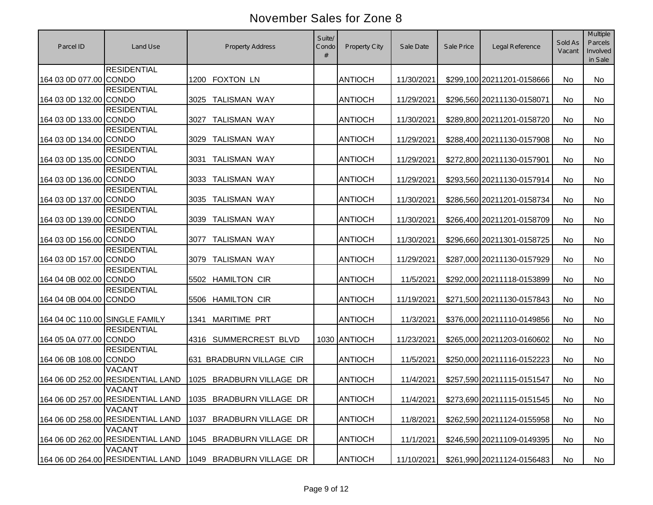| Parcel ID                      | Land Use                                           | <b>Property Address</b>                                    | Suite/<br>Condo<br># | Property City  | Sale Date  | Sale Price | Legal Reference            | Sold As<br>Vacant | Multiple<br>Parcels<br>Involved<br>in Sale |
|--------------------------------|----------------------------------------------------|------------------------------------------------------------|----------------------|----------------|------------|------------|----------------------------|-------------------|--------------------------------------------|
| 164 03 0D 077.00 CONDO         | <b>RESIDENTIAL</b>                                 | <b>FOXTON LN</b><br>1200                                   |                      | <b>ANTIOCH</b> | 11/30/2021 |            | \$299,100 20211201-0158666 | No                | No                                         |
| 164 03 0D 132.00 CONDO         | <b>RESIDENTIAL</b>                                 | <b>TALISMAN WAY</b><br>3025                                |                      | <b>ANTIOCH</b> | 11/29/2021 |            | \$296,560 20211130-0158071 | No                | No                                         |
| 164 03 0D 133.00 CONDO         | <b>RESIDENTIAL</b>                                 | <b>TALISMAN WAY</b><br>3027                                |                      | <b>ANTIOCH</b> | 11/30/2021 |            | \$289,800 20211201-0158720 | No                | No                                         |
| 164 03 0D 134.00 CONDO         | <b>RESIDENTIAL</b>                                 | <b>TALISMAN WAY</b><br>3029                                |                      | <b>ANTIOCH</b> | 11/29/2021 |            | \$288,400 20211130-0157908 | No                | <b>No</b>                                  |
| 164 03 0D 135.00 CONDO         | <b>RESIDENTIAL</b>                                 | <b>TALISMAN WAY</b><br>3031                                |                      | <b>ANTIOCH</b> | 11/29/2021 |            | \$272,800 20211130-0157901 | No                | <b>No</b>                                  |
| 164 03 0D 136.00 CONDO         | <b>RESIDENTIAL</b>                                 | <b>TALISMAN WAY</b><br>3033                                |                      | <b>ANTIOCH</b> | 11/29/2021 |            | \$293,560 20211130-0157914 | <b>No</b>         | <b>No</b>                                  |
| 164 03 0D 137.00 CONDO         | <b>RESIDENTIAL</b>                                 | <b>TALISMAN WAY</b><br>3035                                |                      | <b>ANTIOCH</b> | 11/30/2021 |            | \$286,560 20211201-0158734 | No                | No                                         |
| 164 03 0D 139.00 CONDO         | <b>RESIDENTIAL</b>                                 | <b>TALISMAN WAY</b><br>3039                                |                      | <b>ANTIOCH</b> | 11/30/2021 |            | \$266,400 20211201-0158709 | No                | <b>No</b>                                  |
| 164 03 0D 156.00 CONDO         | <b>RESIDENTIAL</b>                                 | <b>TALISMAN WAY</b><br>3077                                |                      | <b>ANTIOCH</b> | 11/30/2021 |            | \$296,660 20211301-0158725 | <b>No</b>         | <b>No</b>                                  |
| 164 03 0D 157.00 CONDO         | <b>RESIDENTIAL</b>                                 | <b>TALISMAN WAY</b><br>3079                                |                      | <b>ANTIOCH</b> | 11/29/2021 |            | \$287,000 20211130-0157929 | <b>No</b>         | No                                         |
| 164 04 0B 002.00 CONDO         | <b>RESIDENTIAL</b>                                 | <b>HAMILTON CIR</b><br>5502                                |                      | <b>ANTIOCH</b> | 11/5/2021  |            | \$292,000 20211118-0153899 | No                | No                                         |
| 164 04 0B 004.00 CONDO         | <b>RESIDENTIAL</b>                                 | <b>HAMILTON CIR</b><br>5506                                |                      | <b>ANTIOCH</b> | 11/19/2021 |            | \$271,500 20211130-0157843 | <b>No</b>         | <b>No</b>                                  |
| 164 04 0C 110.00 SINGLE FAMILY |                                                    | <b>MARITIME PRT</b><br>1341                                |                      | <b>ANTIOCH</b> | 11/3/2021  |            | \$376,000 20211110-0149856 | No                | No                                         |
| 164 05 0A 077.00 CONDO         | <b>RESIDENTIAL</b>                                 | SUMMERCREST BLVD<br>4316                                   |                      | 1030 ANTIOCH   | 11/23/2021 |            | \$265,000 20211203-0160602 | No                | No                                         |
| 164 06 0B 108.00 CONDO         | <b>RESIDENTIAL</b>                                 | 631 BRADBURN VILLAGE CIR                                   |                      | <b>ANTIOCH</b> | 11/5/2021  |            | \$250,000 20211116-0152223 | No                | No                                         |
|                                | <b>VACANT</b><br>164 06 0D 252.00 RESIDENTIAL LAND | 1025 BRADBURN VILLAGE DR                                   |                      | <b>ANTIOCH</b> | 11/4/2021  |            | \$257,590 20211115-0151547 | <b>No</b>         | No                                         |
|                                | <b>VACANT</b>                                      | 164 06 0D 257.00 RESIDENTIAL LAND 1035 BRADBURN VILLAGE DR |                      | <b>ANTIOCH</b> | 11/4/2021  |            | \$273,690 20211115-0151545 | No                | No                                         |
|                                | <b>VACANT</b><br>164 06 0D 258.00 RESIDENTIAL LAND | <b>BRADBURN VILLAGE DR</b><br>1037                         |                      | <b>ANTIOCH</b> | 11/8/2021  |            | \$262,590 20211124-0155958 | No                | No                                         |
|                                | <b>VACANT</b><br>164 06 0D 262.00 RESIDENTIAL LAND | 1045 BRADBURN VILLAGE DR                                   |                      | <b>ANTIOCH</b> | 11/1/2021  |            | \$246,590 20211109-0149395 | No                | No                                         |
|                                | <b>VACANT</b><br>164 06 0D 264.00 RESIDENTIAL LAND | 1049 BRADBURN VILLAGE DR                                   |                      | <b>ANTIOCH</b> | 11/10/2021 |            | \$261,990 20211124-0156483 | No                | No                                         |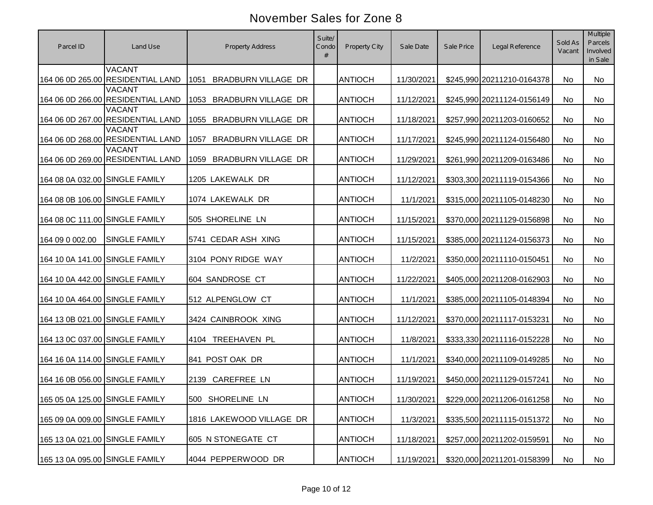| Parcel ID                      | Land Use                                           | <b>Property Address</b>            | Suite/<br>Condo<br># | Property City  | Sale Date  | Sale Price | Legal Reference            | Sold As<br>Vacant | Multiple<br>Parcels<br>Involved<br>in Sale |
|--------------------------------|----------------------------------------------------|------------------------------------|----------------------|----------------|------------|------------|----------------------------|-------------------|--------------------------------------------|
|                                | <b>VACANT</b><br>164 06 0D 265.00 RESIDENTIAL LAND | 1051<br><b>BRADBURN VILLAGE DR</b> |                      | <b>ANTIOCH</b> | 11/30/2021 |            | \$245,990 20211210-0164378 | <b>No</b>         | <b>No</b>                                  |
|                                | <b>VACANT</b><br>164 06 0D 266.00 RESIDENTIAL LAND | 1053<br><b>BRADBURN VILLAGE DR</b> |                      | <b>ANTIOCH</b> | 11/12/2021 |            | \$245,990 20211124-0156149 | No                | <b>No</b>                                  |
|                                | <b>VACANT</b><br>164 06 0D 267.00 RESIDENTIAL LAND | <b>BRADBURN VILLAGE DR</b><br>1055 |                      | <b>ANTIOCH</b> | 11/18/2021 |            | \$257,990 20211203-0160652 | No                | <b>No</b>                                  |
|                                | <b>VACANT</b><br>164 06 0D 268.00 RESIDENTIAL LAND | 1057<br><b>BRADBURN VILLAGE DR</b> |                      | <b>ANTIOCH</b> | 11/17/2021 |            | \$245,990 20211124-0156480 | No                | <b>No</b>                                  |
|                                | <b>VACANT</b><br>164 06 0D 269.00 RESIDENTIAL LAND | 1059<br><b>BRADBURN VILLAGE DR</b> |                      | <b>ANTIOCH</b> | 11/29/2021 |            | \$261,990 20211209-0163486 | <b>No</b>         | <b>No</b>                                  |
| 164 08 0A 032.00 SINGLE FAMILY |                                                    | 1205 LAKEWALK DR                   |                      | <b>ANTIOCH</b> | 11/12/2021 |            | \$303,300 20211119-0154366 | No.               | <b>No</b>                                  |
| 164 08 0B 106.00 SINGLE FAMILY |                                                    | 1074 LAKEWALK DR                   |                      | <b>ANTIOCH</b> | 11/1/2021  |            | \$315,000 20211105-0148230 | No                | No                                         |
| 164 08 0C 111.00 SINGLE FAMILY |                                                    | 505 SHORELINE LN                   |                      | <b>ANTIOCH</b> | 11/15/2021 |            | \$370,000 20211129-0156898 | No                | <b>No</b>                                  |
| 164 09 0 002.00                | <b>SINGLE FAMILY</b>                               | 5741 CEDAR ASH XING                |                      | <b>ANTIOCH</b> | 11/15/2021 |            | \$385,000 20211124-0156373 | No                | <b>No</b>                                  |
| 164 10 0A 141.00 SINGLE FAMILY |                                                    | 3104 PONY RIDGE WAY                |                      | <b>ANTIOCH</b> | 11/2/2021  |            | \$350,000 20211110-0150451 | No                | No                                         |
| 164 10 0A 442.00 SINGLE FAMILY |                                                    | 604 SANDROSE CT                    |                      | <b>ANTIOCH</b> | 11/22/2021 |            | \$405,000 20211208-0162903 | No                | No                                         |
| 164 10 0A 464.00 SINGLE FAMILY |                                                    | 512 ALPENGLOW CT                   |                      | <b>ANTIOCH</b> | 11/1/2021  |            | \$385,000 20211105-0148394 | <b>No</b>         | <b>No</b>                                  |
| 164 13 0B 021.00 SINGLE FAMILY |                                                    | 3424 CAINBROOK XING                |                      | <b>ANTIOCH</b> | 11/12/2021 |            | \$370,000 20211117-0153231 | No                | No                                         |
| 164 13 0C 037.00 SINGLE FAMILY |                                                    | TREEHAVEN PL<br>4104               |                      | <b>ANTIOCH</b> | 11/8/2021  |            | \$333,330 20211116-0152228 | No                | <b>No</b>                                  |
| 164 16 0A 114.00 SINGLE FAMILY |                                                    | 841 POST OAK DR                    |                      | <b>ANTIOCH</b> | 11/1/2021  |            | \$340,000 20211109-0149285 | <b>No</b>         | <b>No</b>                                  |
| 164 16 0B 056.00 SINGLE FAMILY |                                                    | 2139 CAREFREE LN                   |                      | <b>ANTIOCH</b> | 11/19/2021 |            | \$450,000 20211129-0157241 | <b>No</b>         | No                                         |
| 165 05 0A 125.00 SINGLE FAMILY |                                                    | 500 SHORELINE LN                   |                      | <b>ANTIOCH</b> | 11/30/2021 |            | \$229,000 20211206-0161258 | No                | No                                         |
| 165 09 0A 009.00 SINGLE FAMILY |                                                    | 1816 LAKEWOOD VILLAGE DR           |                      | <b>ANTIOCH</b> | 11/3/2021  |            | \$335,500 20211115-0151372 | No                | No                                         |
| 165 13 0A 021.00 SINGLE FAMILY |                                                    | 605 N STONEGATE CT                 |                      | <b>ANTIOCH</b> | 11/18/2021 |            | \$257,000 20211202-0159591 | No                | No                                         |
| 165 13 0A 095.00 SINGLE FAMILY |                                                    | 4044 PEPPERWOOD DR                 |                      | <b>ANTIOCH</b> | 11/19/2021 |            | \$320,000 20211201-0158399 | No                | No                                         |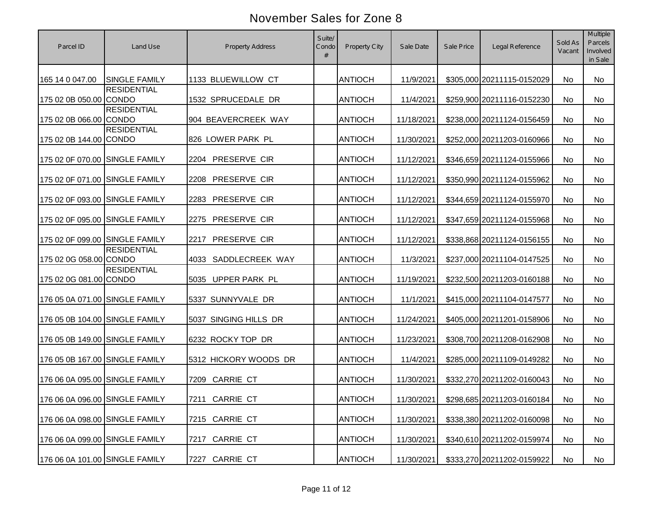| Parcel ID                      | Land Use             | <b>Property Address</b>  | Suite/<br>Condo<br># | <b>Property City</b> | Sale Date  | Sale Price | Legal Reference            | Sold As<br>Vacant | Multiple<br>Parcels<br>Involved<br>in Sale |
|--------------------------------|----------------------|--------------------------|----------------------|----------------------|------------|------------|----------------------------|-------------------|--------------------------------------------|
| 165 14 0 047.00                | <b>SINGLE FAMILY</b> | 1133 BLUEWILLOW CT       |                      | <b>ANTIOCH</b>       | 11/9/2021  |            | \$305,000 20211115-0152029 | No                | No                                         |
| 175 02 0B 050.00 CONDO         | <b>RESIDENTIAL</b>   | 1532 SPRUCEDALE DR       |                      | <b>ANTIOCH</b>       | 11/4/2021  |            | \$259,900 20211116-0152230 | <b>No</b>         | <b>No</b>                                  |
| 175 02 0B 066.00 CONDO         | <b>RESIDENTIAL</b>   | 904 BEAVERCREEK WAY      |                      | <b>ANTIOCH</b>       | 11/18/2021 |            | \$238,000 20211124-0156459 | <b>No</b>         | <b>No</b>                                  |
| 175 02 0B 144.00 CONDO         | <b>RESIDENTIAL</b>   | 826 LOWER PARK PL        |                      | <b>ANTIOCH</b>       | 11/30/2021 |            | \$252,000 20211203-0160966 | No                | No                                         |
| 175 02 0F 070.00 SINGLE FAMILY |                      | 2204 PRESERVE CIR        |                      | <b>ANTIOCH</b>       | 11/12/2021 |            | \$346,659 20211124-0155966 | <b>No</b>         | <b>No</b>                                  |
| 175 02 0F 071.00 SINGLE FAMILY |                      | PRESERVE CIR<br>2208     |                      | <b>ANTIOCH</b>       | 11/12/2021 |            | \$350,990 20211124-0155962 | No                | <b>No</b>                                  |
| 175 02 0F 093.00 SINGLE FAMILY |                      | PRESERVE CIR<br>2283     |                      | <b>ANTIOCH</b>       | 11/12/2021 |            | \$344,659 20211124-0155970 | No                | No                                         |
| 175 02 0F 095.00 SINGLE FAMILY |                      | PRESERVE CIR<br>2275     |                      | <b>ANTIOCH</b>       | 11/12/2021 |            | \$347,659 20211124-0155968 | No                | <b>No</b>                                  |
| 175 02 0F 099.00 SINGLE FAMILY |                      | PRESERVE CIR<br>2217     |                      | <b>ANTIOCH</b>       | 11/12/2021 |            | \$338,868 20211124-0156155 | No                | <b>No</b>                                  |
| 175 02 0G 058.00 CONDO         | <b>RESIDENTIAL</b>   | SADDLECREEK WAY<br>4033  |                      | <b>ANTIOCH</b>       | 11/3/2021  |            | \$237,000 20211104-0147525 | No                | No                                         |
| 175 02 0G 081.00 CONDO         | <b>RESIDENTIAL</b>   | 5035 UPPER PARK PL       |                      | <b>ANTIOCH</b>       | 11/19/2021 |            | \$232,500 20211203-0160188 | No                | No                                         |
| 176 05 0A 071.00 SINGLE FAMILY |                      | 5337 SUNNYVALE DR        |                      | <b>ANTIOCH</b>       | 11/1/2021  |            | \$415,000 20211104-0147577 | No                | No                                         |
| 176 05 0B 104.00 SINGLE FAMILY |                      | 5037 SINGING HILLS DR    |                      | <b>ANTIOCH</b>       | 11/24/2021 |            | \$405,000 20211201-0158906 | No                | No                                         |
| 176 05 0B 149.00 SINGLE FAMILY |                      | 6232 ROCKY TOP DR        |                      | <b>ANTIOCH</b>       | 11/23/2021 |            | \$308,700 20211208-0162908 | <b>No</b>         | No                                         |
| 176 05 0B 167.00 SINGLE FAMILY |                      | 5312 HICKORY WOODS DR    |                      | <b>ANTIOCH</b>       | 11/4/2021  |            | \$285,000 20211109-0149282 | <b>No</b>         | <b>No</b>                                  |
| 176 06 0A 095.00 SINGLE FAMILY |                      | <b>CARRIE CT</b><br>7209 |                      | <b>ANTIOCH</b>       | 11/30/2021 |            | \$332,270 20211202-0160043 | No                | No                                         |
| 176 06 0A 096.00 SINGLE FAMILY |                      | 7211 CARRIE CT           |                      | <b>ANTIOCH</b>       | 11/30/2021 |            | \$298,685 20211203-0160184 | No                | No                                         |
| 176 06 0A 098.00 SINGLE FAMILY |                      | 7215 CARRIE CT           |                      | <b>ANTIOCH</b>       | 11/30/2021 |            | \$338,380 20211202-0160098 | No                | No                                         |
| 176 06 0A 099.00 SINGLE FAMILY |                      | <b>CARRIE CT</b><br>7217 |                      | <b>ANTIOCH</b>       | 11/30/2021 |            | \$340,610 20211202-0159974 | No                | No                                         |
| 176 06 0A 101.00 SINGLE FAMILY |                      | CARRIE CT<br>7227        |                      | <b>ANTIOCH</b>       | 11/30/2021 |            | \$333,270 20211202-0159922 | No                | No                                         |